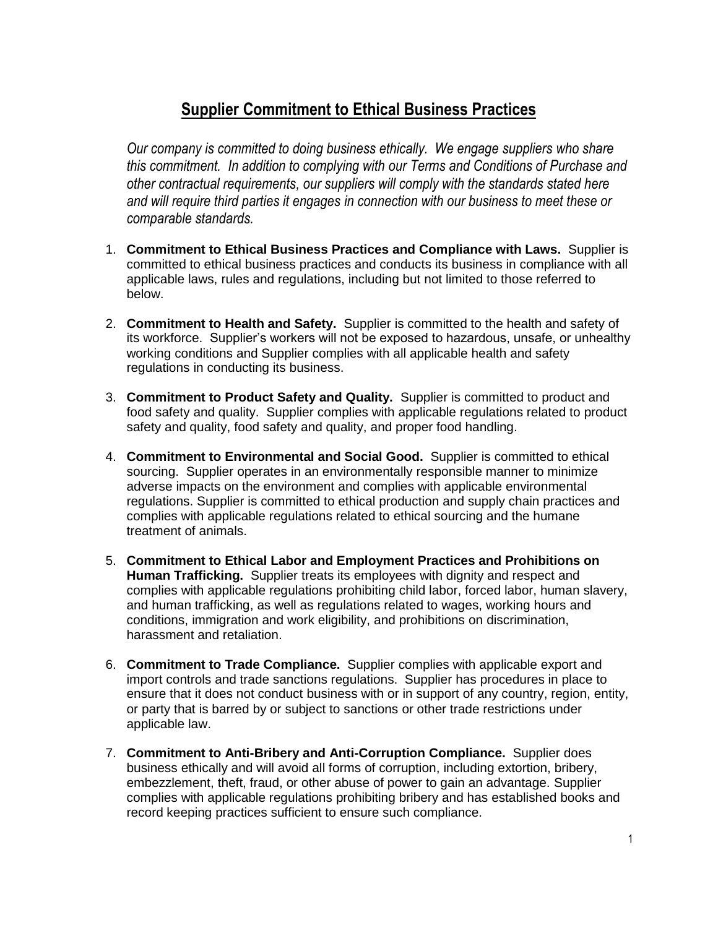## **Supplier Commitment to Ethical Business Practices**

*Our company is committed to doing business ethically. We engage suppliers who share this commitment. In addition to complying with our Terms and Conditions of Purchase and other contractual requirements, our suppliers will comply with the standards stated here and will require third parties it engages in connection with our business to meet these or comparable standards.* 

- 1. **Commitment to Ethical Business Practices and Compliance with Laws.** Supplier is committed to ethical business practices and conducts its business in compliance with all applicable laws, rules and regulations, including but not limited to those referred to below.
- 2. **Commitment to Health and Safety.** Supplier is committed to the health and safety of its workforce. Supplier's workers will not be exposed to hazardous, unsafe, or unhealthy working conditions and Supplier complies with all applicable health and safety regulations in conducting its business.
- 3. **Commitment to Product Safety and Quality.** Supplier is committed to product and food safety and quality. Supplier complies with applicable regulations related to product safety and quality, food safety and quality, and proper food handling.
- 4. **Commitment to Environmental and Social Good.** Supplier is committed to ethical sourcing. Supplier operates in an environmentally responsible manner to minimize adverse impacts on the environment and complies with applicable environmental regulations. Supplier is committed to ethical production and supply chain practices and complies with applicable regulations related to ethical sourcing and the humane treatment of animals.
- 5. **Commitment to Ethical Labor and Employment Practices and Prohibitions on Human Trafficking.** Supplier treats its employees with dignity and respect and complies with applicable regulations prohibiting child labor, forced labor, human slavery, and human trafficking, as well as regulations related to wages, working hours and conditions, immigration and work eligibility, and prohibitions on discrimination, harassment and retaliation.
- 6. **Commitment to Trade Compliance.** Supplier complies with applicable export and import controls and trade sanctions regulations. Supplier has procedures in place to ensure that it does not conduct business with or in support of any country, region, entity, or party that is barred by or subject to sanctions or other trade restrictions under applicable law.
- 7. **Commitment to Anti-Bribery and Anti-Corruption Compliance.** Supplier does business ethically and will avoid all forms of corruption, including extortion, bribery, embezzlement, theft, fraud, or other abuse of power to gain an advantage. Supplier complies with applicable regulations prohibiting bribery and has established books and record keeping practices sufficient to ensure such compliance.